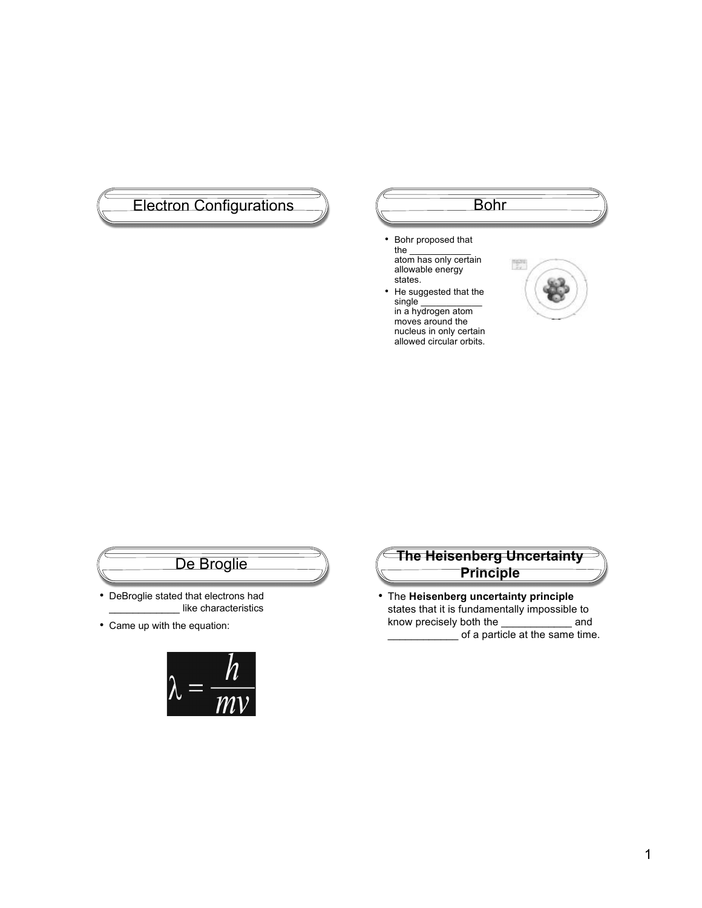# Electron Configurations (Electron Configurations

- Bohr proposed that the  $\qquad \qquad$ atom has only certain allowable energy states.
- He suggested that the single \_\_\_\_\_\_\_\_\_\_\_\_\_

in a hydrogen atom moves around the nucleus in only certain allowed circular orbits.



# De Broglie

- DeBroglie stated that electrons had \_\_\_\_\_\_\_\_\_\_\_\_ like characteristics
- Came up with the equation:





• The **Heisenberg uncertainty principle** states that it is fundamentally impossible to know precisely both the \_\_\_\_\_\_\_\_\_\_\_\_ and  $\frac{1}{2}$  of a particle at the same time.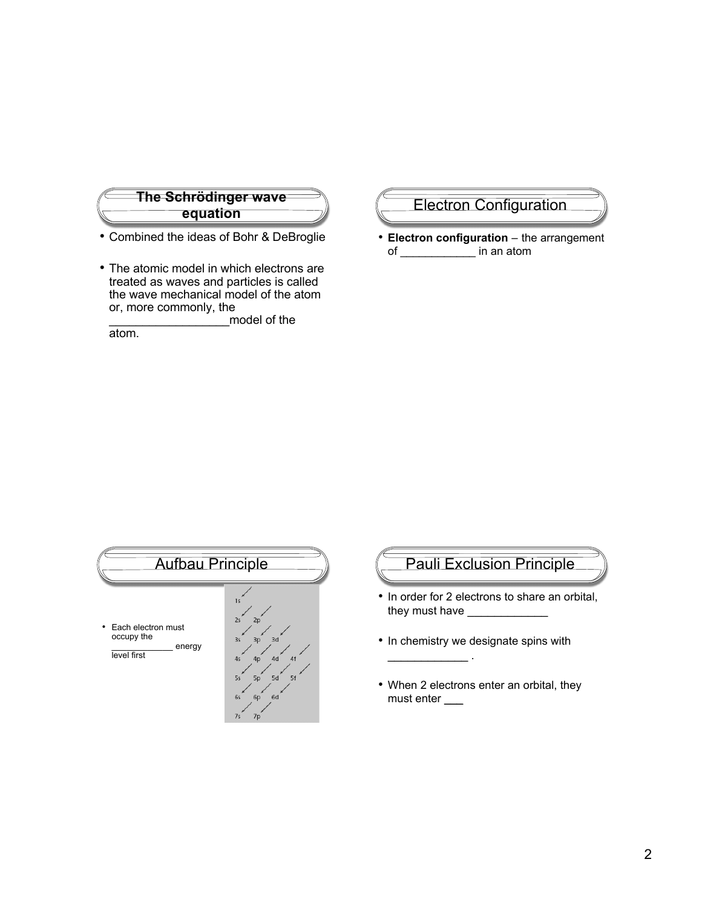

- Combined the ideas of Bohr & DeBroglie
- The atomic model in which electrons are treated as waves and particles is called the wave mechanical model of the atom or, more commonly, the

\_\_\_\_\_\_\_\_\_\_\_\_\_\_\_\_\_\_model of the

atom.

#### Electron Configuration

• **Electron configuration** – the arrangement of \_\_\_\_\_\_\_\_\_\_\_\_ in an atom



#### Pauli Exclusion Principle

- In order for 2 electrons to share an orbital, they must have \_\_\_\_\_\_\_\_\_\_\_\_
- In chemistry we designate spins with

 $\mathcal{L}=\mathcal{L}^{\mathcal{L}}$  . The set of the set of the set of the set of the set of the set of the set of the set of the set of the set of the set of the set of the set of the set of the set of the set of the set of the set of

• When 2 electrons enter an orbital, they must enter \_\_\_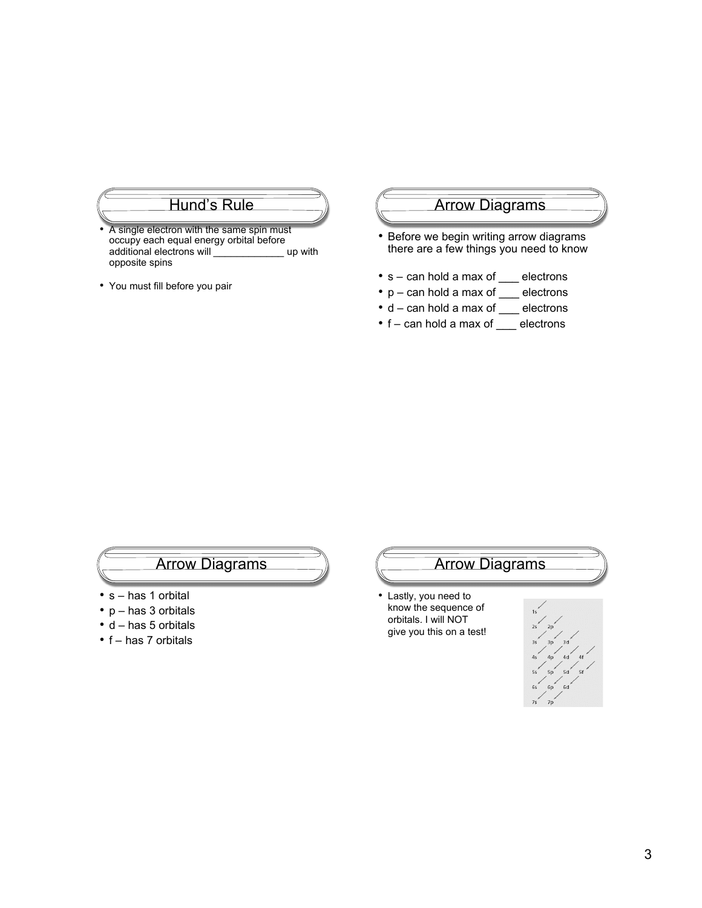#### Hund's Rule

- A single electron with the same spin must occupy each equal energy orbital before additional electrons will \_\_\_\_\_\_\_\_\_\_\_\_\_\_\_\_ up with opposite spins
- You must fill before you pair

#### Arrow Diagrams

- Before we begin writing arrow diagrams there are a few things you need to know
- s can hold a max of \_\_\_ electrons
- p can hold a max of \_\_\_ electrons
- d can hold a max of \_\_\_ electrons
- f can hold a max of \_\_\_ electrons

#### Arrow Diagrams

- s has 1 orbital
- p has 3 orbitals
- d has 5 orbitals
- f has 7 orbitals

# Arrow Diagrams

• Lastly, you need to know the sequence of orbitals. I will NOT give you this on a test!

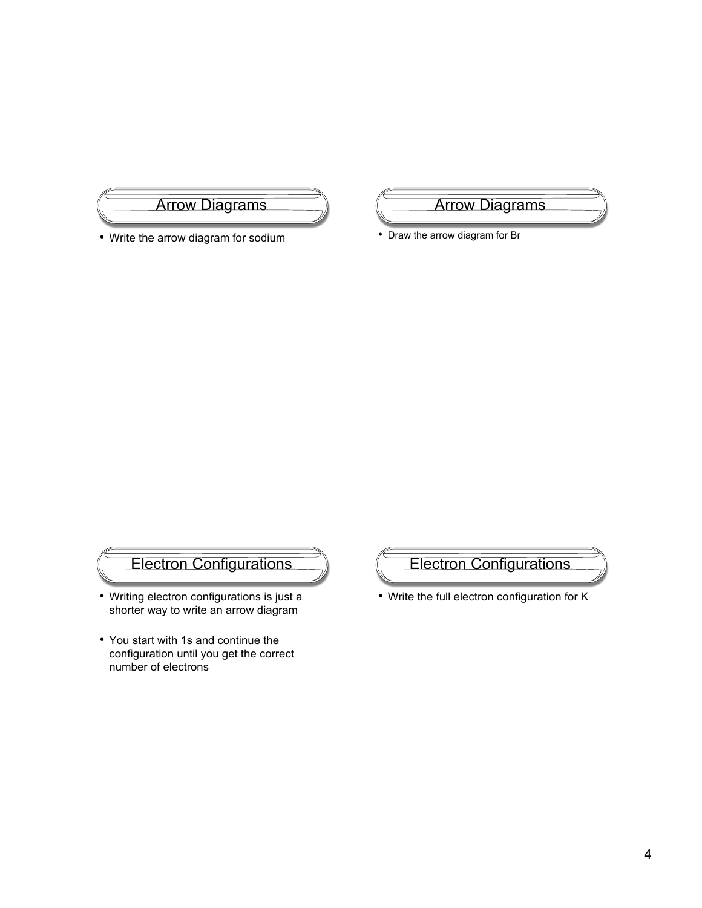# Arrow Diagrams

• Write the arrow diagram for sodium

Arrow Diagrams

• Draw the arrow diagram for Br

# Electron Configurations

- Writing electron configurations is just a shorter way to write an arrow diagram
- You start with 1s and continue the configuration until you get the correct number of electrons



• Write the full electron configuration for K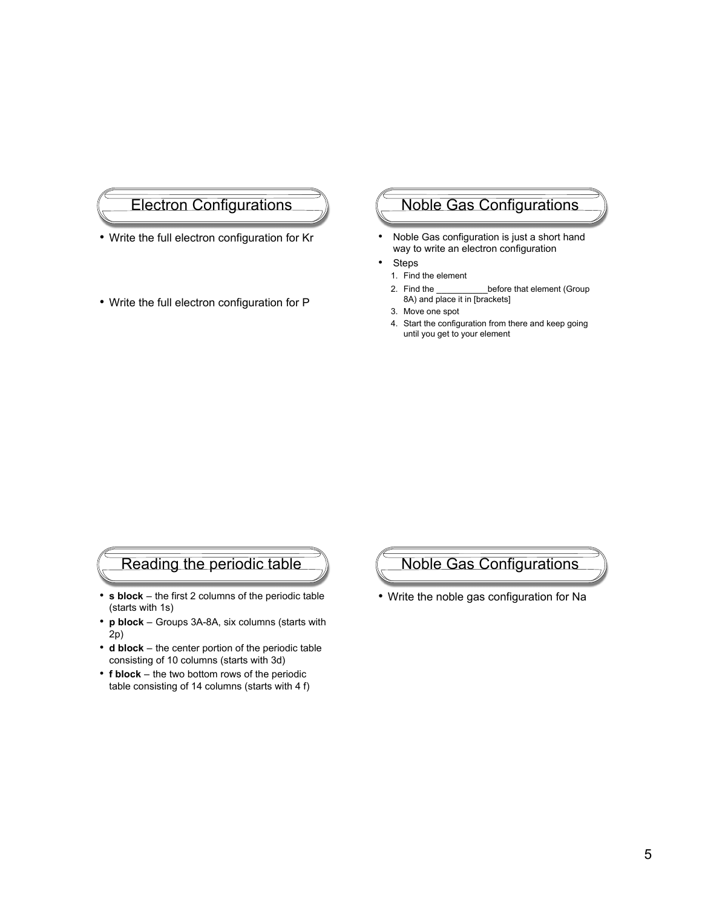#### Electron Configurations

- Write the full electron configuration for Kr
- Write the full electron configuration for P

## Noble Gas Configurations

- Noble Gas configuration is just a short hand way to write an electron configuration
- **Steps**
- 1. Find the element
- 2. Find the \_\_\_\_\_\_\_\_\_\_\_\_\_before that element (Group 8A) and place it in [brackets]
- 3. Move one spot
- 4. Start the configuration from there and keep going until you get to your element

#### Reading the periodic table

- **s block** the first 2 columns of the periodic table (starts with 1s)
- **p block** Groups 3A-8A, six columns (starts with 2p)
- **d block** the center portion of the periodic table consisting of 10 columns (starts with 3d)
- **f block** the two bottom rows of the periodic table consisting of 14 columns (starts with 4 f)

Noble Gas Configurations

• Write the noble gas configuration for Na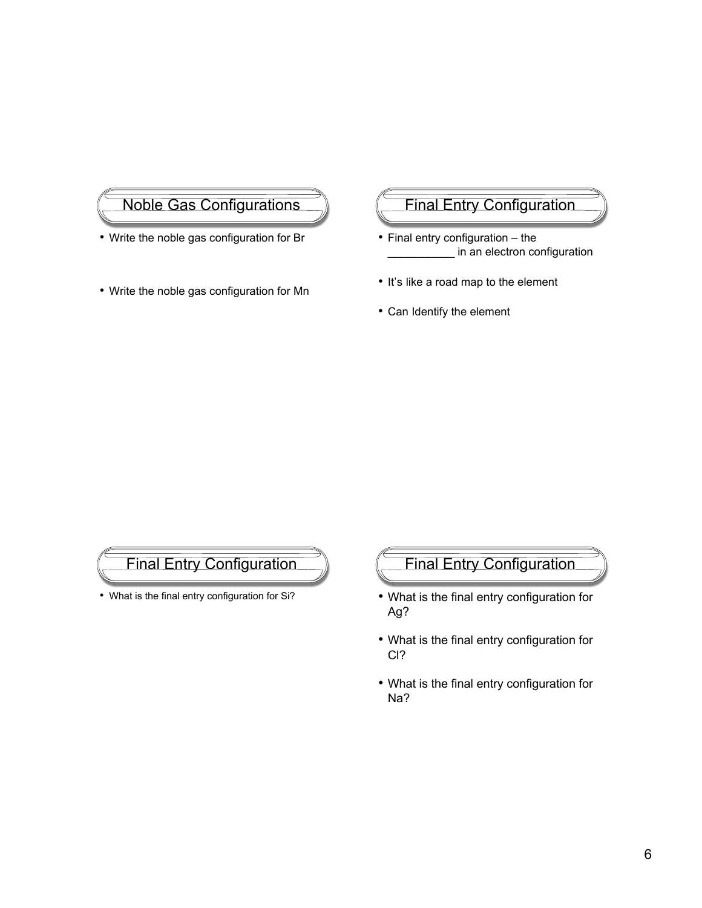# Noble Gas Configurations

- Write the noble gas configuration for Br
- Write the noble gas configuration for Mn

# Final Entry Configuration

- Final entry configuration the in an electron configuration
- It's like a road map to the element
- Can Identify the element

#### Final Entry Configuration

• What is the final entry configuration for Si?

# Final Entry Configuration

- What is the final entry configuration for Ag?
- What is the final entry configuration for Cl?
- What is the final entry configuration for Na?